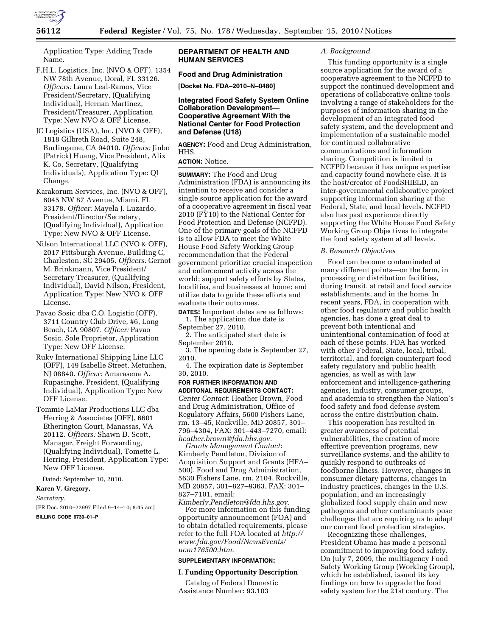

Application Type: Adding Trade Name.

- F.H.L. Logistics, Inc. (NVO & OFF), 1354 NW 78th Avenue, Doral, FL 33126. *Officers:* Laura Leal-Ramos, Vice President/Secretary, (Qualifying Individual), Hernan Martinez, President/Treasurer, Application Type: New NVO & OFF License.
- JC Logistics (USA), Inc. (NVO & OFF), 1818 Gilbreth Road, Suite 248, Burlingame, CA 94010. *Officers:* Jinbo (Patrick) Huang, Vice President, Alix K. Co, Secretary, (Qualifying Individuals), Application Type: QI Change.
- Karakorum Services, Inc. (NVO & OFF), 6045 NW 87 Avenue, Miami, FL 33178. *Officer:* Mayela J. Luzardo, President/Director/Secretary, (Qualifying Individual), Application Type: New NVO & OFF License.
- Nilson International LLC (NVO & OFF), 2017 Pittsburgh Avenue, Building C, Charleston, SC 29405. *Officers:* Gernot M. Brinkmann, Vice President/ Secretary Treasurer, (Qualifying Individual), David Nilson, President, Application Type: New NVO & OFF License.
- Pavao Sosic dba C.O. Logistic (OFF), 3711 Country Club Drive, #6, Long Beach, CA 90807. *Officer:* Pavao Sosic, Sole Proprietor, Application Type: New OFF License.
- Ruky International Shipping Line LLC (OFF), 149 Isabelle Street, Metuchen, NJ 08840. *Officer:* Amarasena A. Rupasinghe, President, (Qualifying Individual), Application Type: New OFF License.
- Tommie LaMar Productions LLC dba Herring & Associates (OFF), 6601 Etherington Court, Manassas, VA 20112. *Officers:* Shawn D. Scott, Manager, Freight Forwarding, (Qualifying Individual), Tomette L. Herring, President, Application Type: New OFF License.

Dated: September 10, 2010.

## **Karen V. Gregory,**

*Secretary.* 

[FR Doc. 2010–22997 Filed 9–14–10; 8:45 am]

**BILLING CODE 6730–01–P** 

## **DEPARTMENT OF HEALTH AND HUMAN SERVICES**

# **Food and Drug Administration**

**[Docket No. FDA–2010–N–0480]** 

## **Integrated Food Safety System Online Collaboration Development— Cooperative Agreement With the National Center for Food Protection and Defense (U18)**

**AGENCY:** Food and Drug Administration, HHS.

## **ACTION:** Notice.

**SUMMARY:** The Food and Drug Administration (FDA) is announcing its intention to receive and consider a single source application for the award of a cooperative agreement in fiscal year 2010 (FY10) to the National Center for Food Protection and Defense (NCFPD). One of the primary goals of the NCFPD is to allow FDA to meet the White House Food Safety Working Group recommendation that the Federal government prioritize crucial inspection and enforcement activity across the world; support safety efforts by States, localities, and businesses at home; and utilize data to guide these efforts and evaluate their outcomes.

**DATES:** Important dates are as follows: 1. The application due date is September 27, 2010.

2. The anticipated start date is September 2010.

3. The opening date is September 27, 2010.

4. The expiration date is September 30, 2010.

## **FOR FURTHER INFORMATION AND**

**ADDITONAL REQUIREMENTS CONTACT:**  *Center Contact*: Heather Brown, Food and Drug Administration, Office of Regulatory Affairs, 5600 Fishers Lane, rm. 13–45, Rockville, MD 20857, 301– 796–4304, FAX: 301–443–7270, email: *[heather.brown@fda.hhs.gov](mailto:heather.brown@fda.hhs.gov)*.

*Grants Management Contact*: Kimberly Pendleton, Division of Acquisition Support and Grants (HFA– 500), Food and Drug Administration, 5630 Fishers Lane, rm. 2104, Rockville, MD 20857, 301–827–9363, FAX: 301– 827–7101, email:

*[Kimberly.Pendleton@fda.hhs.gov](mailto:Kimberly.Pendleton@fda.hhs.gov)*. For more information on this funding opportunity announcement (FOA) and to obtain detailed requirements, please refer to the full FOA located at *[http://](http://www.fda.gov/Food/NewsEvents/ucm176500.htm) [www.fda.gov/Food/NewsEvents/](http://www.fda.gov/Food/NewsEvents/ucm176500.htm) [ucm176500.htm](http://www.fda.gov/Food/NewsEvents/ucm176500.htm)*.

#### **SUPPLEMENTARY INFORMATION:**

#### **I. Funding Opportunity Description**

Catalog of Federal Domestic Assistance Number: 93.103

### *A. Background*

This funding opportunity is a single source application for the award of a cooperative agreement to the NCFPD to support the continued development and operations of collaborative online tools involving a range of stakeholders for the purposes of information sharing in the development of an integrated food safety system, and the development and implementation of a sustainable model for continued collaborative communications and information sharing. Competition is limited to NCFPD because it has unique expertise and capacity found nowhere else. It is the host/creator of FoodSHIELD, an inter-governmental collaborative project supporting information sharing at the Federal, State, and local levels. NCFPD also has past experience directly supporting the White House Food Safety Working Group Objectives to integrate the food safety system at all levels.

#### *B. Research Objectives*

Food can become contaminated at many different points—on the farm, in processing or distribution facilities, during transit, at retail and food service establishments, and in the home. In recent years, FDA, in cooperation with other food regulatory and public health agencies, has done a great deal to prevent both intentional and unintentional contamination of food at each of these points. FDA has worked with other Federal, State, local, tribal, territorial, and foreign counterpart food safety regulatory and public health agencies, as well as with law enforcement and intelligence-gathering agencies, industry, consumer groups, and academia to strengthen the Nation's food safety and food defense system across the entire distribution chain.

This cooperation has resulted in greater awareness of potential vulnerabilities, the creation of more effective prevention programs, new surveillance systems, and the ability to quickly respond to outbreaks of foodborne illness. However, changes in consumer dietary patterns, changes in industry practices, changes in the U.S. population, and an increasingly globalized food supply chain and new pathogens and other contaminants pose challenges that are requiring us to adapt our current food protection strategies.

Recognizing these challenges, President Obama has made a personal commitment to improving food safety. On July 7, 2009, the multiagency Food Safety Working Group (Working Group), which he established, issued its key findings on how to upgrade the food safety system for the 21st century. The